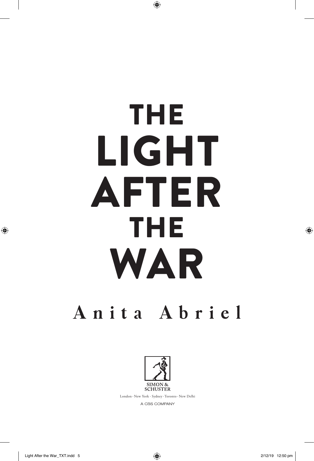⊕

## Anita Abriel



London • New York • Sydney • Toronto • New Delhi A CBS COMPANY

Light After the War\_TXT.indd 5 2/12/19 12:50 pm  $\bigcirc$  2/12/19 12:50 pm 12:50 pm 12/9/19 12:50 pm 12/9/19 12:50 pm 12/9/19 12:50 pm 12/9/19 12:50 pm 12/9/19 12:50 pm 12/9/19 12:50 pm 12/9/19 12:50 pm 12/9/19 12:50 pm 12/9/

◈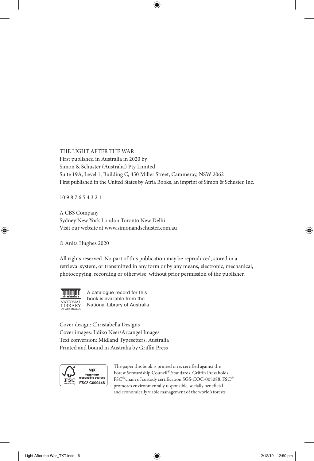#### THE LIGHT AFTER THE WAR First published in Australia in 2020 by Simon & Schuster (Australia) Pty Limited

Suite 19A, Level 1, Building C, 450 Miller Street, Cammeray, NSW 2062 First published in the United States by Atria Books, an imprint of Simon & Schuster, Inc.

⊕

10 9 8 7 6 5 4 3 2 1

A CBS Company Sydney New York London Toronto New Delhi Visit our website at www.simonandschuster.com.au EMI Music Publishing, London W8 5SW

© Anita Hughes 2020  $20$ 

All rights reserved. No part of this publication may be reproduced, stored in a retrieval system, or transmitted in any form or by any means, electronic, mechanical, photocopying, recording or otherwise, without prior permission of the publisher.  $T_{\rm eff}$ No part of this publication may be



◈

A catalogue record for this  $\frac{1}{\text{TPD} \times \text{TPD} \times \text{TPD}}$  book is available from the  $R_{\text{RY}}$  National Library of Australia

Cover design: Christabella Designs Cover images: Ildiko Neer/Arcangel Images Text conversion: Midland Typesetters, Australia Printed and bound in Australia by Griffin Press



The paper this book is printed on is certified against the Forest Stewardship Council® Standards. Griffin Press holds FSC® chain of custody certification SGS-COC-005088. FSC® promotes environmentally responsible, socially beneficial and economically viable management of the world's forests

Light After the War\_TXT.indd 6 2/12/19 12:50 pm

◈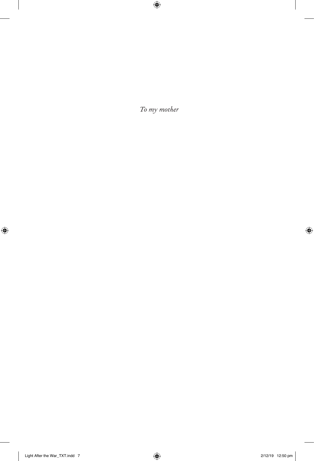*To my mother*

 $\overline{\phantom{a}}$ 

 $\overline{\phantom{a}}$ 

 $\bigoplus$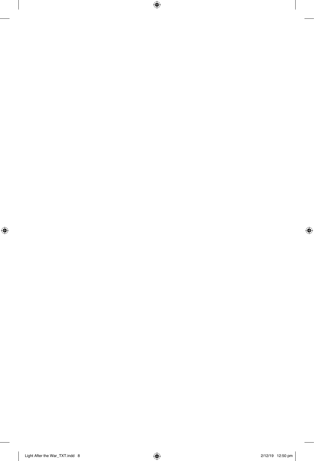

 $\mathcal{L}$ 

 $\begin{array}{c} \hline \end{array}$ 

 $\bigoplus$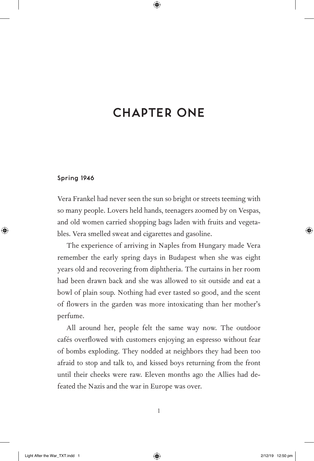### **CHAPTER ONE**

⊕

#### **Spring 1946**

⊕

Vera Frankel had never seen the sun so bright or streets teeming with so many people. Lovers held hands, teenagers zoomed by on Vespas, and old women carried shopping bags laden with fruits and vegetables. Vera smelled sweat and cigarettes and gasoline.

The experience of arriving in Naples from Hungary made Vera remember the early spring days in Budapest when she was eight years old and recovering from diphtheria. The curtains in her room had been drawn back and she was allowed to sit outside and eat a bowl of plain soup. Nothing had ever tasted so good, and the scent of flowers in the garden was more intoxicating than her mother's perfume.

All around her, people felt the same way now. The outdoor cafés overflowed with customers enjoying an espresso without fear of bombs exploding. They nodded at neighbors they had been too afraid to stop and talk to, and kissed boys returning from the front until their cheeks were raw. Eleven months ago the Allies had defeated the Nazis and the war in Europe was over.

1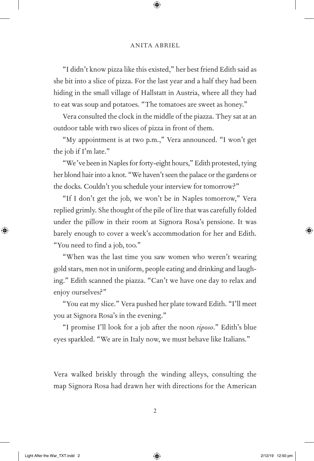$\bigoplus$ 

"I didn't know pizza like this existed," her best friend Edith said as she bit into a slice of pizza. For the last year and a half they had been hiding in the small village of Hallstatt in Austria, where all they had to eat was soup and potatoes. "The tomatoes are sweet as honey."

Vera consulted the clock in the middle of the piazza. They sat at an outdoor table with two slices of pizza in front of them.

"My appointment is at two p.m.," Vera announced. "I won't get the job if I'm late."

"We've been in Naples for forty-eight hours," Edith protested, tying her blond hair into a knot. "We haven't seen the palace or the gardens or the docks. Couldn't you schedule your interview for tomorrow?"

"If I don't get the job, we won't be in Naples tomorrow," Vera replied grimly. She thought of the pile of lire that was carefully folded under the pillow in their room at Signora Rosa's pensione. It was barely enough to cover a week's accommodation for her and Edith. "You need to find a job, too."

"When was the last time you saw women who weren't wearing gold stars, men not in uniform, people eating and drinking and laughing." Edith scanned the piazza. "Can't we have one day to relax and enjoy ourselves?"

"You eat my slice." Vera pushed her plate toward Edith. "I'll meet you at Signora Rosa's in the evening."

"I promise I'll look for a job after the noon *riposo*." Edith's blue eyes sparkled. "We are in Italy now, we must behave like Italians."

Vera walked briskly through the winding alleys, consulting the map Signora Rosa had drawn her with directions for the American

2

◈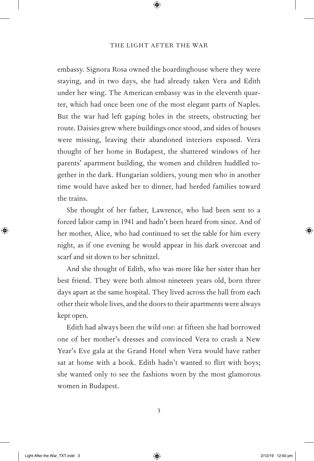$\bigoplus$ 

embassy. Signora Rosa owned the boardinghouse where they were staying, and in two days, she had already taken Vera and Edith under her wing. The American embassy was in the eleventh quarter, which had once been one of the most elegant parts of Naples. But the war had left gaping holes in the streets, obstructing her route. Daisies grew where buildings once stood, and sides of houses were missing, leaving their abandoned interiors exposed. Vera thought of her home in Budapest, the shattered windows of her parents' apartment building, the women and children huddled together in the dark. Hungarian soldiers, young men who in another time would have asked her to dinner, had herded families toward the trains.

She thought of her father, Lawrence, who had been sent to a forced labor camp in 1941 and hadn't been heard from since. And of her mother, Alice, who had continued to set the table for him every night, as if one evening he would appear in his dark overcoat and scarf and sit down to her schnitzel.

And she thought of Edith, who was more like her sister than her best friend. They were both almost nineteen years old, born three days apart at the same hospital. They lived across the hall from each other their whole lives, and the doors to their apartments were always kept open.

Edith had always been the wild one: at fifteen she had borrowed one of her mother's dresses and convinced Vera to crash a New Year's Eve gala at the Grand Hotel when Vera would have rather sat at home with a book. Edith hadn't wanted to flirt with boys; she wanted only to see the fashions worn by the most glamorous women in Budapest.

3

⊕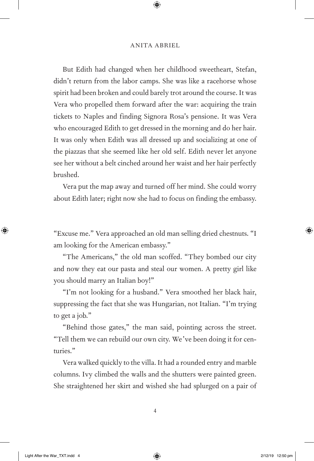$\bigoplus$ 

But Edith had changed when her childhood sweetheart, Stefan, didn't return from the labor camps. She was like a racehorse whose spirit had been broken and could barely trot around the course. It was Vera who propelled them forward after the war: acquiring the train tickets to Naples and finding Signora Rosa's pensione. It was Vera who encouraged Edith to get dressed in the morning and do her hair. It was only when Edith was all dressed up and socializing at one of the piazzas that she seemed like her old self. Edith never let anyone see her without a belt cinched around her waist and her hair perfectly brushed.

Vera put the map away and turned off her mind. She could worry about Edith later; right now she had to focus on finding the embassy.

"Excuse me." Vera approached an old man selling dried chestnuts. "I am looking for the American embassy."

"The Americans," the old man scoffed. "They bombed our city and now they eat our pasta and steal our women. A pretty girl like you should marry an Italian boy!"

"I'm not looking for a husband." Vera smoothed her black hair, suppressing the fact that she was Hungarian, not Italian. "I'm trying to get a job."

"Behind those gates," the man said, pointing across the street. "Tell them we can rebuild our own city. We've been doing it for centuries."

Vera walked quickly to the villa. It had a rounded entry and marble columns. Ivy climbed the walls and the shutters were painted green. She straightened her skirt and wished she had splurged on a pair of

4

◈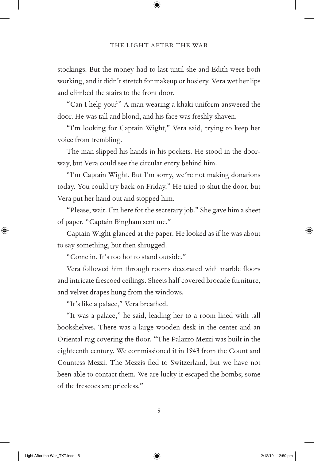$\bigoplus$ 

stockings. But the money had to last until she and Edith were both working, and it didn't stretch for makeup or hosiery. Vera wet her lips and climbed the stairs to the front door.

"Can I help you?" A man wearing a khaki uniform answered the door. He was tall and blond, and his face was freshly shaven.

"I'm looking for Captain Wight," Vera said, trying to keep her voice from trembling.

The man slipped his hands in his pockets. He stood in the doorway, but Vera could see the circular entry behind him.

"I'm Captain Wight. But I'm sorry, we're not making donations today. You could try back on Friday." He tried to shut the door, but Vera put her hand out and stopped him.

"Please, wait. I'm here for the secretary job." She gave him a sheet of paper. "Captain Bingham sent me."

Captain Wight glanced at the paper. He looked as if he was about to say something, but then shrugged.

"Come in. It's too hot to stand outside."

Vera followed him through rooms decorated with marble floors and intricate frescoed ceilings. Sheets half covered brocade furniture, and velvet drapes hung from the windows.

"It's like a palace," Vera breathed.

"It was a palace," he said, leading her to a room lined with tall bookshelves. There was a large wooden desk in the center and an Oriental rug covering the floor. "The Palazzo Mezzi was built in the eighteenth century. We commissioned it in 1943 from the Count and Countess Mezzi. The Mezzis fled to Switzerland, but we have not been able to contact them. We are lucky it escaped the bombs; some of the frescoes are priceless."

◈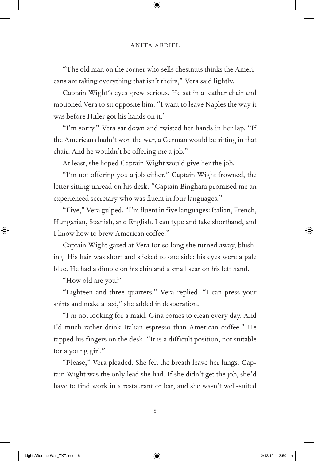$\bigoplus$ 

"The old man on the corner who sells chestnuts thinks the Americans are taking everything that isn't theirs," Vera said lightly.

Captain Wight's eyes grew serious. He sat in a leather chair and motioned Vera to sit opposite him. "I want to leave Naples the way it was before Hitler got his hands on it."

"I'm sorry." Vera sat down and twisted her hands in her lap. "If the Americans hadn't won the war, a German would be sitting in that chair. And he wouldn't be offering me a job."

At least, she hoped Captain Wight would give her the job.

"I'm not offering you a job either." Captain Wight frowned, the letter sitting unread on his desk. "Captain Bingham promised me an experienced secretary who was fluent in four languages."

"Five," Vera gulped. "I'm fluent in five languages: Italian, French, Hungarian, Spanish, and English. I can type and take shorthand, and I know how to brew American coffee."

Captain Wight gazed at Vera for so long she turned away, blushing. His hair was short and slicked to one side; his eyes were a pale blue. He had a dimple on his chin and a small scar on his left hand.

"How old are you?"

"Eighteen and three quarters," Vera replied. "I can press your shirts and make a bed," she added in desperation.

"I'm not looking for a maid. Gina comes to clean every day. And I'd much rather drink Italian espresso than American coffee." He tapped his fingers on the desk. "It is a difficult position, not suitable for a young girl."

"Please," Vera pleaded. She felt the breath leave her lungs. Captain Wight was the only lead she had. If she didn't get the job, she'd have to find work in a restaurant or bar, and she wasn't well-suited

⊕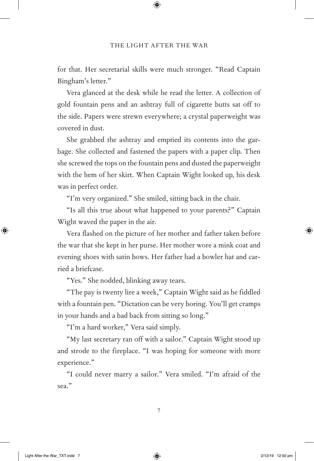for that. Her secretarial skills were much stronger. "Read Captain Bingham's letter."

Vera glanced at the desk while he read the letter. A collection of gold fountain pens and an ashtray full of cigarette butts sat off to the side. Papers were strewn everywhere; a crystal paperweight was covered in dust.

She grabbed the ashtray and emptied its contents into the garbage. She collected and fastened the papers with a paper clip. Then she screwed the tops on the fountain pens and dusted the paperweight with the hem of her skirt. When Captain Wight looked up, his desk was in perfect order.

"I'm very organized." She smiled, sitting back in the chair.

"Is all this true about what happened to your parents?" Captain Wight waved the paper in the air.

Vera flashed on the picture of her mother and father taken before the war that she kept in her purse. Her mother wore a mink coat and evening shoes with satin bows. Her father had a bowler hat and carried a briefcase.

"Yes." She nodded, blinking away tears.

"The pay is twenty lire a week," Captain Wight said as he fiddled with a fountain pen. "Dictation can be very boring. You'll get cramps in your hands and a bad back from sitting so long."

"I'm a hard worker," Vera said simply.

"My last secretary ran off with a sailor." Captain Wight stood up and strode to the fireplace. "I was hoping for someone with more experience."

"I could never marry a sailor." Vera smiled. "I'm afraid of the sea."

◈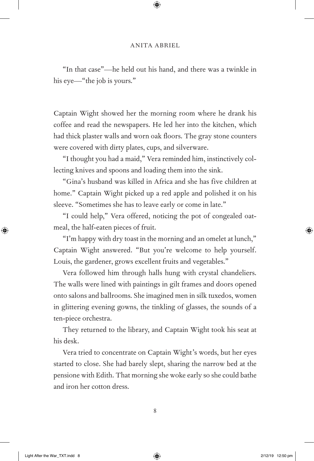$\bigoplus$ 

"In that case"—he held out his hand, and there was a twinkle in his eye—"the job is yours."

Captain Wight showed her the morning room where he drank his coffee and read the newspapers. He led her into the kitchen, which had thick plaster walls and worn oak floors. The gray stone counters were covered with dirty plates, cups, and silverware.

"I thought you had a maid," Vera reminded him, instinctively collecting knives and spoons and loading them into the sink.

"Gina's husband was killed in Africa and she has five children at home." Captain Wight picked up a red apple and polished it on his sleeve. "Sometimes she has to leave early or come in late."

"I could help," Vera offered, noticing the pot of congealed oatmeal, the half-eaten pieces of fruit.

"I'm happy with dry toast in the morning and an omelet at lunch," Captain Wight answered. "But you're welcome to help yourself. Louis, the gardener, grows excellent fruits and vegetables."

Vera followed him through halls hung with crystal chandeliers. The walls were lined with paintings in gilt frames and doors opened onto salons and ballrooms. She imagined men in silk tuxedos, women in glittering evening gowns, the tinkling of glasses, the sounds of a ten-piece orchestra.

They returned to the library, and Captain Wight took his seat at his desk.

Vera tried to concentrate on Captain Wight's words, but her eyes started to close. She had barely slept, sharing the narrow bed at the pensione with Edith. That morning she woke early so she could bathe and iron her cotton dress.

⊕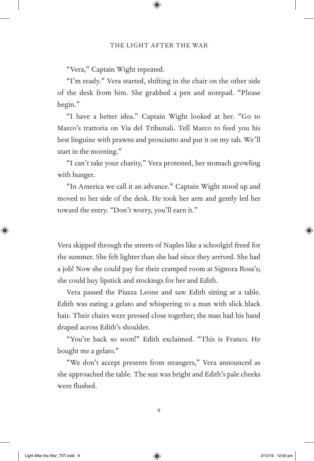"Vera," Captain Wight repeated.

"I'm ready." Vera started, shifting in the chair on the other side of the desk from him. She grabbed a pen and notepad. "Please begin."

"I have a better idea." Captain Wight looked at her. "Go to Marco's trattoria on Via del Tribunali. Tell Marco to feed you his best linguine with prawns and prosciutto and put it on my tab. We'll start in the morning."

"I can't take your charity," Vera protested, her stomach growling with hunger.

"In America we call it an advance." Captain Wight stood up and moved to her side of the desk. He took her arm and gently led her toward the entry. "Don't worry, you'll earn it."

Vera skipped through the streets of Naples like a schoolgirl freed for the summer. She felt lighter than she had since they arrived. She had a job! Now she could pay for their cramped room at Signora Rosa's; she could buy lipstick and stockings for her and Edith.

Vera passed the Piazza Leone and saw Edith sitting at a table. Edith was eating a gelato and whispering to a man with slick black hair. Their chairs were pressed close together; the man had his hand draped across Edith's shoulder.

"You're back so soon!" Edith exclaimed. "This is Franco. He bought me a gelato."

"We don't accept presents from strangers," Vera announced as she approached the table. The sun was bright and Edith's pale cheeks were flushed.

⊕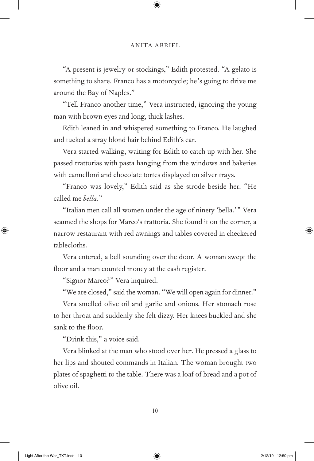$\bigoplus$ 

"A present is jewelry or stockings," Edith protested. "A gelato is something to share. Franco has a motorcycle; he's going to drive me around the Bay of Naples."

"Tell Franco another time," Vera instructed, ignoring the young man with brown eyes and long, thick lashes.

Edith leaned in and whispered something to Franco. He laughed and tucked a stray blond hair behind Edith's ear.

Vera started walking, waiting for Edith to catch up with her. She passed trattorias with pasta hanging from the windows and bakeries with cannelloni and chocolate tortes displayed on silver trays.

"Franco was lovely," Edith said as she strode beside her. "He called me *bella*."

"Italian men call all women under the age of ninety 'bella.' " Vera scanned the shops for Marco's trattoria. She found it on the corner, a narrow restaurant with red awnings and tables covered in checkered tablecloths.

Vera entered, a bell sounding over the door. A woman swept the floor and a man counted money at the cash register.

"Signor Marco?" Vera inquired.

"We are closed," said the woman. "We will open again for dinner."

Vera smelled olive oil and garlic and onions. Her stomach rose to her throat and suddenly she felt dizzy. Her knees buckled and she sank to the floor.

"Drink this," a voice said.

Vera blinked at the man who stood over her. He pressed a glass to her lips and shouted commands in Italian. The woman brought two plates of spaghetti to the table. There was a loaf of bread and a pot of olive oil.

⊕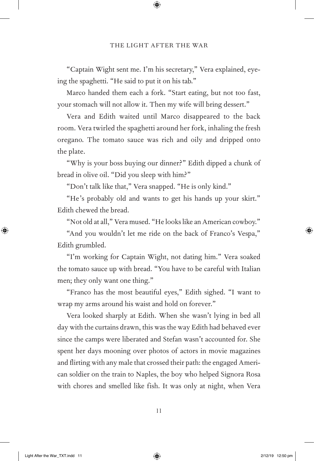$\bigoplus$ 

"Captain Wight sent me. I'm his secretary," Vera explained, eyeing the spaghetti. "He said to put it on his tab."

Marco handed them each a fork. "Start eating, but not too fast, your stomach will not allow it. Then my wife will bring dessert."

Vera and Edith waited until Marco disappeared to the back room. Vera twirled the spaghetti around her fork, inhaling the fresh oregano. The tomato sauce was rich and oily and dripped onto the plate.

"Why is your boss buying our dinner?" Edith dipped a chunk of bread in olive oil. "Did you sleep with him?"

"Don't talk like that," Vera snapped. "He is only kind."

"He's probably old and wants to get his hands up your skirt." Edith chewed the bread.

"Not old at all," Vera mused. "He looks like an American cowboy."

"And you wouldn't let me ride on the back of Franco's Vespa," Edith grumbled.

"I'm working for Captain Wight, not dating him." Vera soaked the tomato sauce up with bread. "You have to be careful with Italian men; they only want one thing."

"Franco has the most beautiful eyes," Edith sighed. "I want to wrap my arms around his waist and hold on forever."

Vera looked sharply at Edith. When she wasn't lying in bed all day with the curtains drawn, this was the way Edith had behaved ever since the camps were liberated and Stefan wasn't accounted for. She spent her days mooning over photos of actors in movie magazines and flirting with any male that crossed their path: the engaged American soldier on the train to Naples, the boy who helped Signora Rosa with chores and smelled like fish. It was only at night, when Vera

◈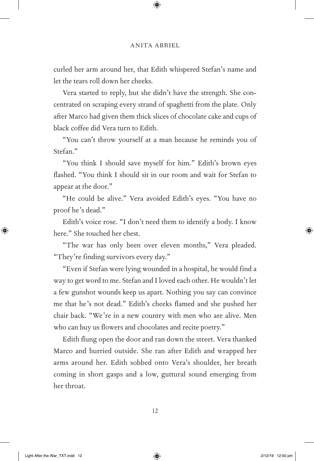$\bigoplus$ 

curled her arm around her, that Edith whispered Stefan's name and let the tears roll down her cheeks.

Vera started to reply, but she didn't have the strength. She concentrated on scraping every strand of spaghetti from the plate. Only after Marco had given them thick slices of chocolate cake and cups of black coffee did Vera turn to Edith.

"You can't throw yourself at a man because he reminds you of Stefan."

"You think I should save myself for him." Edith's brown eyes flashed. "You think I should sit in our room and wait for Stefan to appear at the door."

"He could be alive." Vera avoided Edith's eyes. "You have no proof he's dead."

Edith's voice rose. "I don't need them to identify a body. I know here." She touched her chest.

"The war has only been over eleven months," Vera pleaded. "They're finding survivors every day."

"Even if Stefan were lying wounded in a hospital, he would find a way to get word to me. Stefan and I loved each other. He wouldn't let a few gunshot wounds keep us apart. Nothing you say can convince me that he's not dead." Edith's cheeks flamed and she pushed her chair back. "We're in a new country with men who are alive. Men who can buy us flowers and chocolates and recite poetry."

Edith flung open the door and ran down the street. Vera thanked Marco and hurried outside. She ran after Edith and wrapped her arms around her. Edith sobbed onto Vera's shoulder, her breath coming in short gasps and a low, guttural sound emerging from her throat.

◈